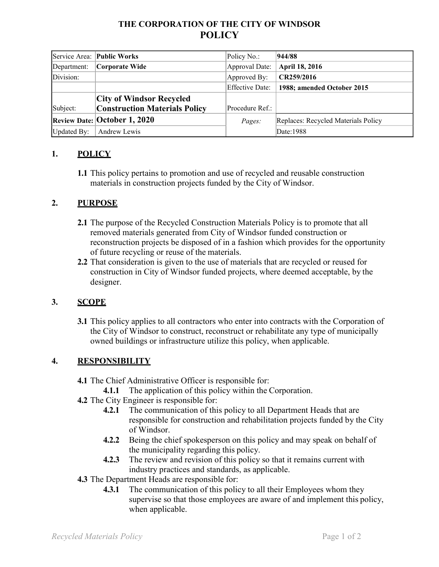# **THE CORPORATION OF THE CITY OF WINDSOR POLICY**

|             | Service Area: Public Works           | Policy No.:            | 944/88                              |
|-------------|--------------------------------------|------------------------|-------------------------------------|
| Department: | Corporate Wide                       | Approval Date:         | April 18, 2016                      |
| Division:   |                                      | Approved By:           | CR259/2016                          |
|             |                                      | <b>Effective Date:</b> | 1988; amended October 2015          |
|             | <b>City of Windsor Recycled</b>      |                        |                                     |
| Subject:    | <b>Construction Materials Policy</b> | Procedure Ref.:        |                                     |
|             | <b>Review Date: October 1, 2020</b>  | Pages:                 | Replaces: Recycled Materials Policy |
| Updated By: | Andrew Lewis                         |                        | Date:1988                           |

### **1. POLICY**

**1.1** This policy pertains to promotion and use of recycled and reusable construction materials in construction projects funded by the City of Windsor.

#### **2. PURPOSE**

- **2.1** The purpose of the Recycled Construction Materials Policy is to promote that all removed materials generated from City of Windsor funded construction or reconstruction projects be disposed of in a fashion which provides for the opportunity of future recycling or reuse of the materials.
- **2.2** That consideration is given to the use of materials that are recycled or reused for construction in City of Windsor funded projects, where deemed acceptable, by the designer.

#### **3. SCOPE**

**3.1** This policy applies to all contractors who enter into contracts with the Corporation of the City of Windsor to construct, reconstruct or rehabilitate any type of municipally owned buildings or infrastructure utilize this policy, when applicable.

#### **4. RESPONSIBILITY**

- **4.1** The Chief Administrative Officer is responsible for:
	- **4.1.1** The application of this policy within the Corporation.
- **4.2** The City Engineer is responsible for:
	- **4.2.1** The communication of this policy to all Department Heads that are responsible for construction and rehabilitation projects funded by the City of Windsor.
	- **4.2.2** Being the chief spokesperson on this policy and may speak on behalf of the municipality regarding this policy.
	- **4.2.3** The review and revision of this policy so that it remains current with industry practices and standards, as applicable.
- **4.3** The Department Heads are responsible for:
	- **4.3.1** The communication of this policy to all their Employees whom they supervise so that those employees are aware of and implement this policy, when applicable.